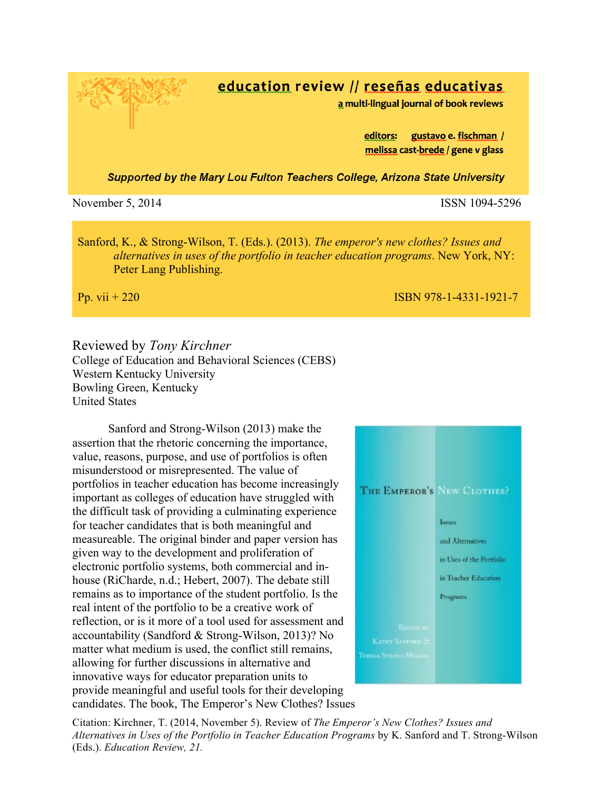education review // reseñas educativas

a multi-lingual journal of book reviews

gustavo e. fischman / editors: melissa cast-brede / gene v glass

Supported by the Mary Lou Fulton Teachers College, Arizona State University

November 5, 2014 **ISSN** 1094-5296

Sanford, K., & Strong-Wilson, T. (Eds.). (2013). *The emperor's new clothes? Issues and alternatives in uses of the portfolio in teacher education programs*. New York, NY: Peter Lang Publishing.

Pp. vii + 220 ISBN 978-1-4331-1921-7

Reviewed by *Tony Kirchner* College of Education and Behavioral Sciences (CEBS) Western Kentucky University Bowling Green, Kentucky

United States

Sanford and Strong-Wilson (2013) make the assertion that the rhetoric concerning the importance, value, reasons, purpose, and use of portfolios is often misunderstood or misrepresented. The value of portfolios in teacher education has become increasingly important as colleges of education have struggled with the difficult task of providing a culminating experience for teacher candidates that is both meaningful and measureable. The original binder and paper version has given way to the development and proliferation of electronic portfolio systems, both commercial and inhouse (RiCharde, n.d.; Hebert, 2007). The debate still remains as to importance of the student portfolio. Is the real intent of the portfolio to be a creative work of reflection, or is it more of a tool used for assessment and accountability (Sandford & Strong-Wilson, 2013)? No matter what medium is used, the conflict still remains, allowing for further discussions in alternative and innovative ways for educator preparation units to provide meaningful and useful tools for their developing candidates. The book, The Emperor's New Clothes? Issues



Citation: Kirchner, T. (2014, November 5). Review of *The Emperor's New Clothes? Issues and Alternatives in Uses of the Portfolio in Teacher Education Programs* by K. Sanford and T. Strong-Wilson (Eds.). *Education Review, 21.*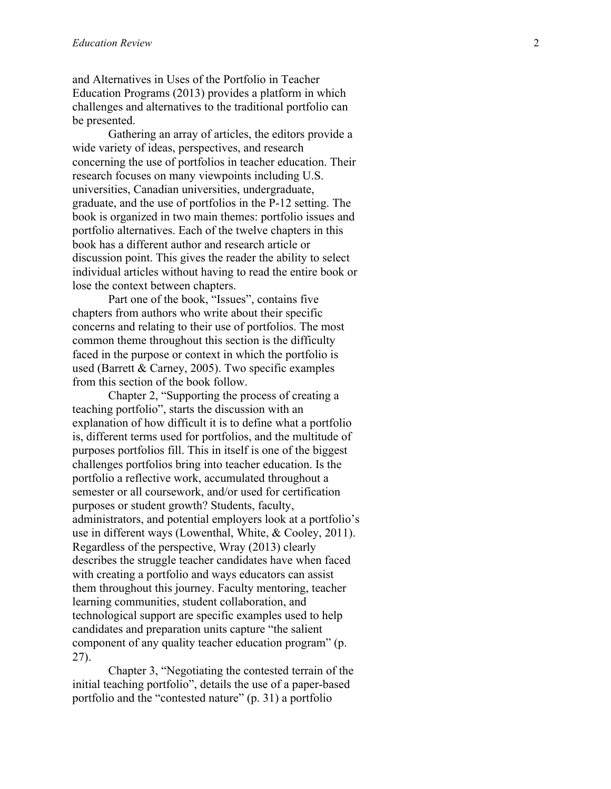and Alternatives in Uses of the Portfolio in Teacher Education Programs (2013) provides a platform in which challenges and alternatives to the traditional portfolio can be presented.

Gathering an array of articles, the editors provide a wide variety of ideas, perspectives, and research concerning the use of portfolios in teacher education. Their research focuses on many viewpoints including U.S. universities, Canadian universities, undergraduate, graduate, and the use of portfolios in the P -12 setting. The book is organized in two main themes: portfolio issues and portfolio alternatives. Each of the twelve chapters in this book has a different author and research article or discussion point. This gives the reader the ability to select individual articles without having to read the entire book or lose the context between chapters.

Part one of the book, "Issues", contains five chapters from authors who write about their specific concerns and relating to their use of portfolios. The most common theme throughout this section is the difficulty faced in the purpose or context in which the portfolio is used (Barrett & Carney, 2005). Two specific examples from this section of the book follow.

Chapter 2, "Supporting the process of creating a teaching portfolio", starts the discussion with an explanation of how difficult it is to define what a portfolio is, different terms used for portfolios, and the multitude of purposes portfolios fill. This in itself is one of the biggest challenges portfolios bring into teacher education. Is the portfolio a reflective work, accumulated throughout a semester or all coursework, and/or used for certification purposes or student growth? Students, faculty, administrators, and potential employers look at a portfolio's use in different ways (Lowenthal, White, & Cooley, 2011). Regardless of the perspective, Wray (2013) clearly describes the struggle teacher candidates have when faced with creating a portfolio and ways educators can assist them throughout this journey. Faculty mentoring, teacher learning communities, student collaboration, and technological support are specific examples used to help candidates and preparation units capture "the salient component of any quality teacher education program" (p. 27).

Chapter 3, "Negotiating the contested terrain of the initial teaching portfolio", details the use of a paper -based portfolio and the "contested nature" (p. 31) a portfolio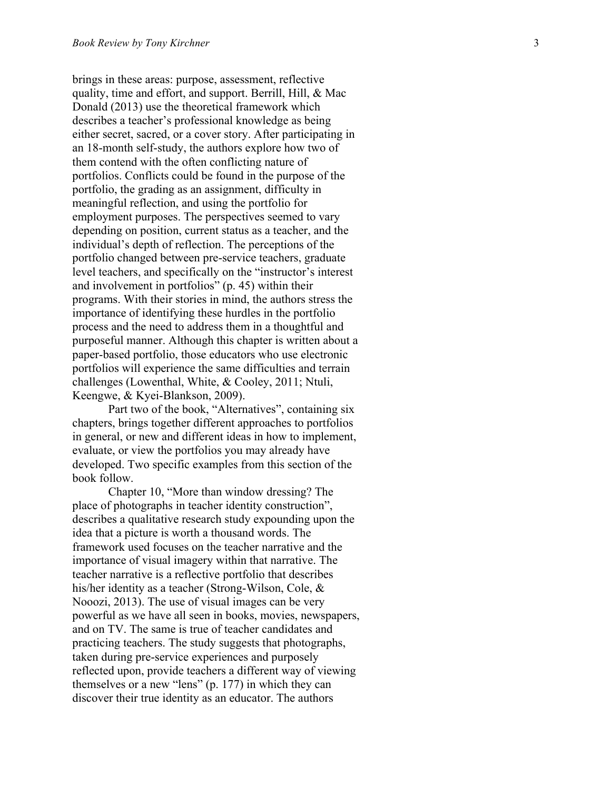brings in these areas: purpose, assessment, reflective quality, time and effort, and support. Berrill, Hill, & Mac Donald (2013) use the theoretical framework which describes a teacher's professional knowledge as being either secret, sacred, or a cover story. After participating in an 18 -month self-study, the authors explore how two of them contend with the often conflicting nature of portfolios. Conflicts could be found in the purpose of the portfolio, the grading as an assignment, difficulty in meaningful reflection, and using the portfolio for employment purposes. The perspectives seemed to vary depending on position, current status as a teacher, and the individual's depth of reflection. The perceptions of the portfolio changed between pre -service teachers, graduate level teachers, and specifically on the "instructor's interest and involvement in portfolios" (p. 45) within their programs. With their stories in mind, the authors stress the importance of identifying these hurdles in the portfolio process and the need to address them in a thoughtful and purposeful manner. Although this chapter is written about a paper -based portfolio, those educators who use electronic portfolios will experience the same difficulties and terrain challenges (Lowenthal, White, & Cooley, 2011; Ntuli, Keengwe, & Kyei -Blankson, 2009).

Part two of the book, "Alternatives", containing six chapters, brings together different approaches to portfolios in general, or new and different ideas in how to implement, evaluate, or view the portfolios you may already have developed. Two specific examples from this section of the book follow.

Chapter 10, "More than window dressing? The place of photographs in teacher identity construction", describes a qualitative research study expounding upon the idea that a picture is worth a thousand words. The framework used focuses on the teacher narrative and the importance of visual imagery within that narrative. The teacher narrative is a reflective portfolio that describes his/her identity as a teacher (Strong -Wilson, Cole, & Nooozi, 2013). The use of visual images can be very powerful as we have all seen in books, movies, newspapers, and on TV. The same is true of teacher candidates and practicing teachers. The study suggests that photographs, taken during pre -service experiences and purposely reflected upon, provide teachers a different way of viewing themselves or a new "lens" (p. 177) in which they can discover their true identity as an educator. The authors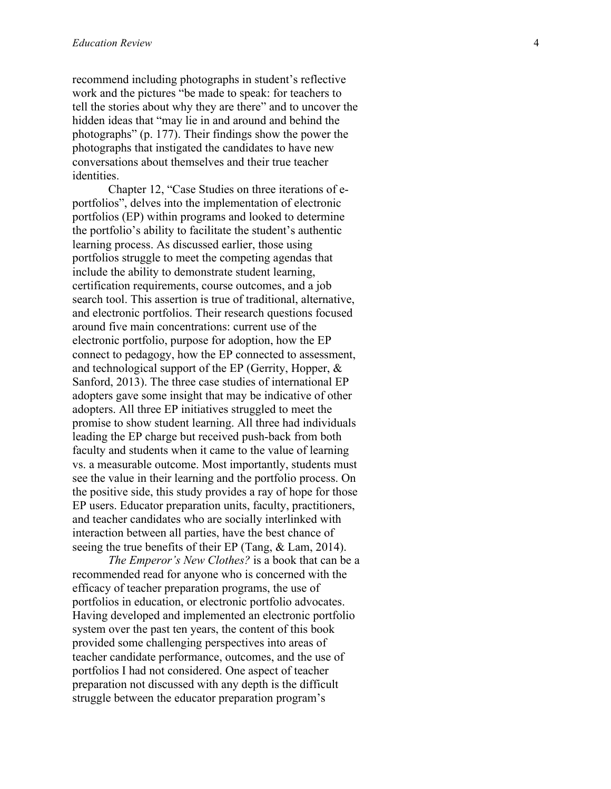recommend including photographs in student's reflective work and the pictures "be made to speak: for teachers to tell the stories about why they are there" and to uncover the hidden ideas that "may lie in and around and behind the photographs" (p. 177). Their findings show the power the photographs that instigated the candidates to have new conversations about themselves and their true teacher **identities** 

Chapter 12, "Case Studies on three iterations of e portfolios", delves into the implementation of electronic portfolios (EP) within programs and looked to determine the portfolio's ability to facilitate the student's authentic learning process. As discussed earlier, those using portfolios struggle to meet the competing agendas that include the ability to demonstrate student learning, certification requirements, course outcomes, and a job search tool. This assertion is true of traditional, alternative, and electronic portfolios. Their research questions focused around five main concentrations: current use of the electronic portfolio, purpose for adoption, how the EP connect to pedagogy, how the EP connected to assessment, and technological support of the EP (Gerrity, Hopper, & Sanford, 2013). The three case studies of international EP adopters gave some insight that may be indicative of other adopters. All three EP initiatives struggled to meet the promise to show student learning. All three had individuals leading the EP charge but received push -back from both faculty and students when it came to the value of learning vs. a measurable outcome. Most importantly, students must see the value in their learning and the portfolio process. On the positive side, this study provides a ray of hope for those EP users. Educator preparation units, faculty, practitioners, and teacher candidates who are socially interlinked with interaction between all parties, have the best chance of seeing the true benefits of their EP (Tang, & Lam, 2014).

*The Emperor's New Clothes?* is a book that can be a recommended read for anyone who is concerned with the efficacy of teacher preparation programs, the use of portfolios in education, or electronic portfolio advocates. Having developed and implemented an electronic portfolio system over the past ten years, the content of this book provided some challenging perspectives into areas of teacher candidate performance, outcomes, and the use of portfolios I had not considered. One aspect of teacher preparation not discussed with any depth is the difficult struggle between the educator preparation program's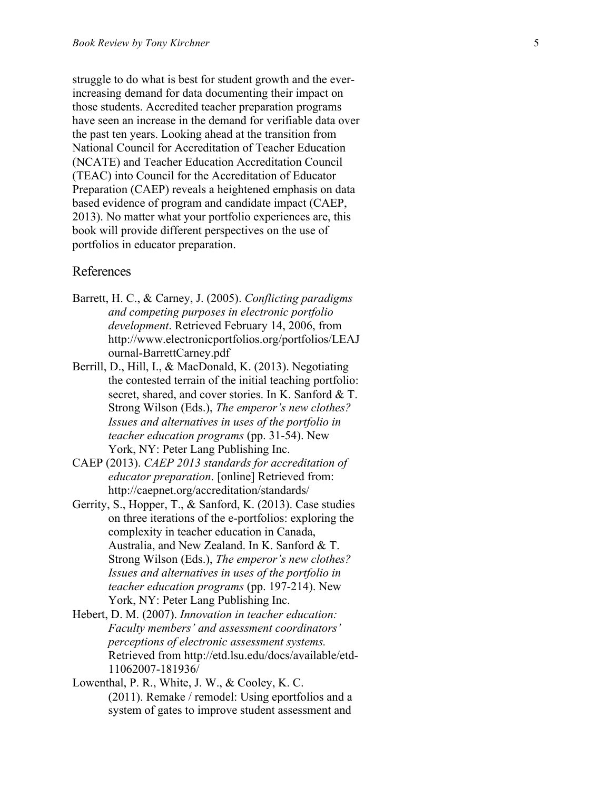struggle to do what is best for student growth and the ever increasing demand for data documenting their impact on those students. Accredited teacher preparation programs have seen an increase in the demand for verifiable data over the past ten years. Looking ahead at the transition from National Council for Accreditation of Teacher Education (NCATE) and Teacher Education Accreditation Council (TEAC) into Council for the Accreditation of Educator Preparation (CAEP) reveals a heightened emphasis on data based evidence of program and candidate impact (CAEP, 2013). No matter what your portfolio experiences are, this book will provide different perspectives on the use of portfolios in educator preparation.

## References

- Barrett, H. C., & Carney, J. (2005). *Conflicting paradigms and competing purposes in electronic portfolio development*. Retrieved February 14, 2006, from http://www.electronicportfolios.org/portfolios/LEAJ ournal -BarrettCarney.pdf
- Berrill, D., Hill, I., & MacDonald, K. (2013). Negotiating the contested terrain of the initial teaching portfolio: secret, shared, and cover stories. In K. Sanford & T. Strong Wilson (Eds.), *The emperor's new clothes? Issues and alternatives in uses of the portfolio in teacher education programs* (pp. 31 -54). New York, NY: Peter Lang Publishing Inc.
- CAEP (2013). *CAEP 2013 standards for accreditation of educator preparation*. [online] Retrieved from: http://caepnet.org/accreditation/standards/
- Gerrity, S., Hopper, T., & Sanford, K. (2013). Case studies on three iterations of the e -portfolios: exploring the complexity in teacher education in Canada, Australia, and New Zealand. In K. Sanford & T. Strong Wilson (Eds.), *The emperor's new clothes? Issues and alternatives in uses of the portfolio in teacher education programs* (pp. 197 -214). New York, NY: Peter Lang Publishing Inc.
- Hebert, D. M. (2007). *Innovation in teacher education: Faculty members' and assessment coordinators' perceptions of electronic assessment systems.*  Retrieved from http://etd.lsu.edu/docs/available/etd - 11062007 -181936/
- Lowenthal, P. R., White, J. W., & Cooley, K. C. (2011). Remake / remodel: Using eportfolios and a system of gates to improve student assessment and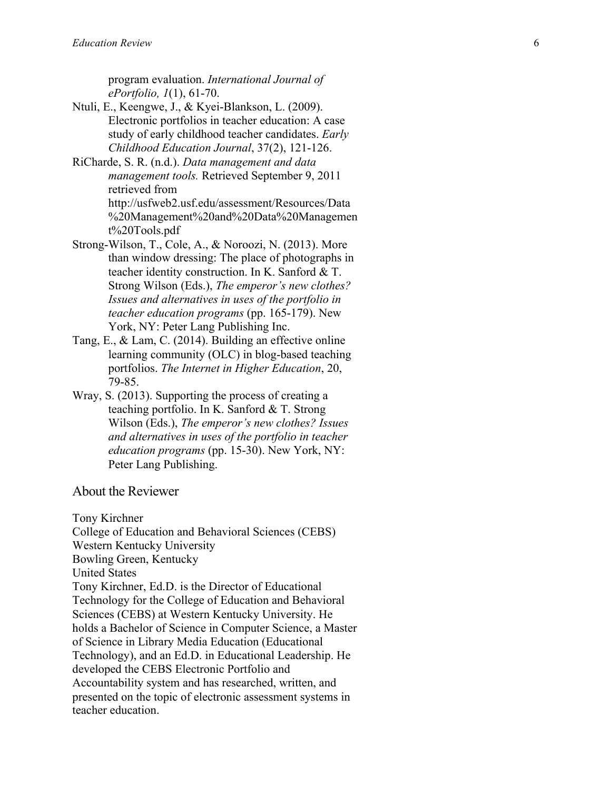program evaluation. *International Journal of ePortfolio, 1*(1), 61 -70.

- Ntuli, E., Keengwe, J., & Kyei -Blankson, L. (2009). Electronic portfolios in teacher education: A case study of early childhood teacher candidates. *Early Childhood Education Journal*, 37(2), 121 -126.
- RiCharde, S. R. (n.d.). *Data management and data management tools.* Retrieved September 9, 2011 retrieved from http://usfweb2.usf.edu/assessment/Resources/Data %20Management%20and%20Data%20Managemen t%20Tools.pdf
- Strong -Wilson, T., Cole, A., & Noroozi, N. (2013). More than window dressing: The place of photographs in teacher identity construction. In K. Sanford & T. Strong Wilson (Eds.), *The emperor's new clothes? Issues and alternatives in uses of the portfolio in teacher education programs* (pp. 165 -179). New York, NY: Peter Lang Publishing Inc.
- Tang, E., & Lam, C. (2014). Building an effective online learning community (OLC) in blog -based teaching portfolios. *The Internet in Higher Education*, 20, 79 -85.
- Wray, S. (2013). Supporting the process of creating a teaching portfolio. In K. Sanford & T. Strong Wilson (Eds.), *The emperor's new clothes? Issues and alternatives in uses of the portfolio in teacher education programs* (pp. 15 -30). New York, NY: Peter Lang Publishing .

## About the Reviewer

Tony Kirchner

College of Education and Behavioral Sciences (CEBS) Western Kentucky University Bowling Green, Kentucky United States Tony Kirchner, Ed.D. is the Director of Educational Technology for the College of Education and Behavioral Sciences (CEBS) at Western Kentucky University. He holds a Bachelor of Science in Computer Science, a Master of Science in Library Media Education (Educational Technology), and an Ed.D. in Educational Leadership. He developed the CEBS Electronic Portfolio and Accountability system and has researched, written, and presented on the topic of electronic assessment systems in teacher education.